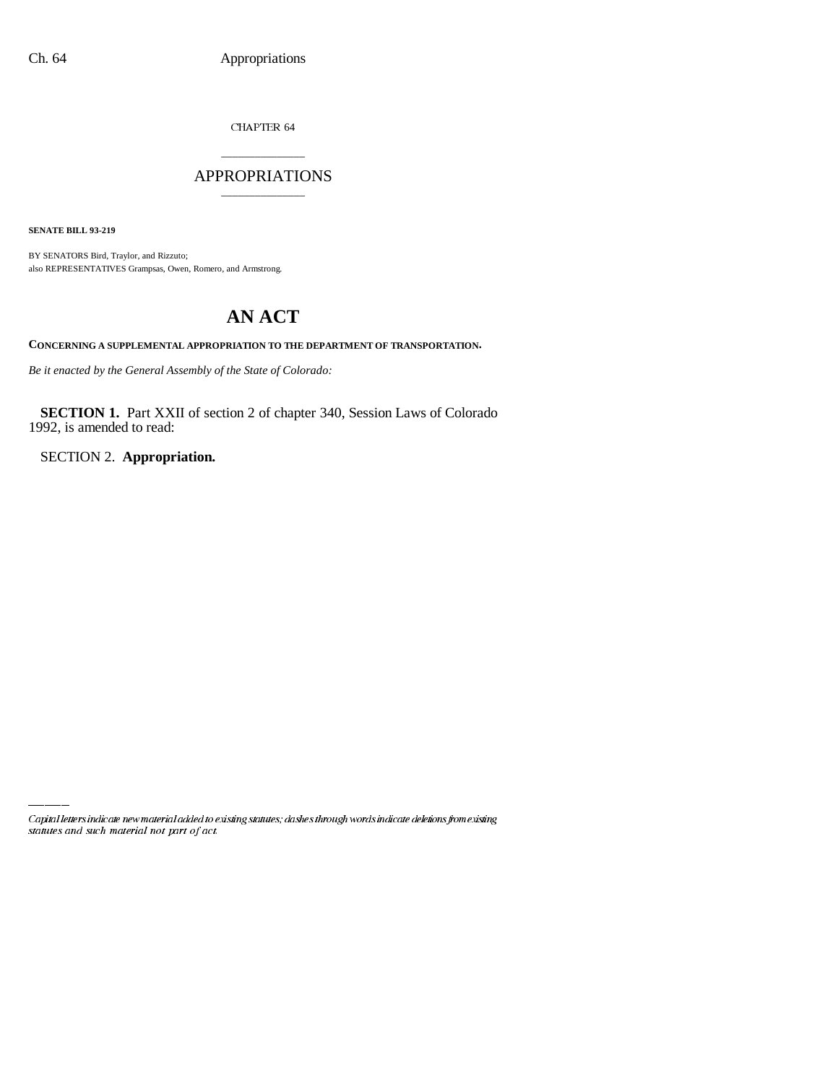CHAPTER 64

## \_\_\_\_\_\_\_\_\_\_\_\_\_\_\_ APPROPRIATIONS \_\_\_\_\_\_\_\_\_\_\_\_\_\_\_

**SENATE BILL 93-219**

BY SENATORS Bird, Traylor, and Rizzuto; also REPRESENTATIVES Grampsas, Owen, Romero, and Armstrong.

## **AN ACT**

**CONCERNING A SUPPLEMENTAL APPROPRIATION TO THE DEPARTMENT OF TRANSPORTATION.**

*Be it enacted by the General Assembly of the State of Colorado:*

**SECTION 1.** Part XXII of section 2 of chapter 340, Session Laws of Colorado 1992, is amended to read:

SECTION 2. **Appropriation.**

Capital letters indicate new material added to existing statutes; dashes through words indicate deletions from existing statutes and such material not part of act.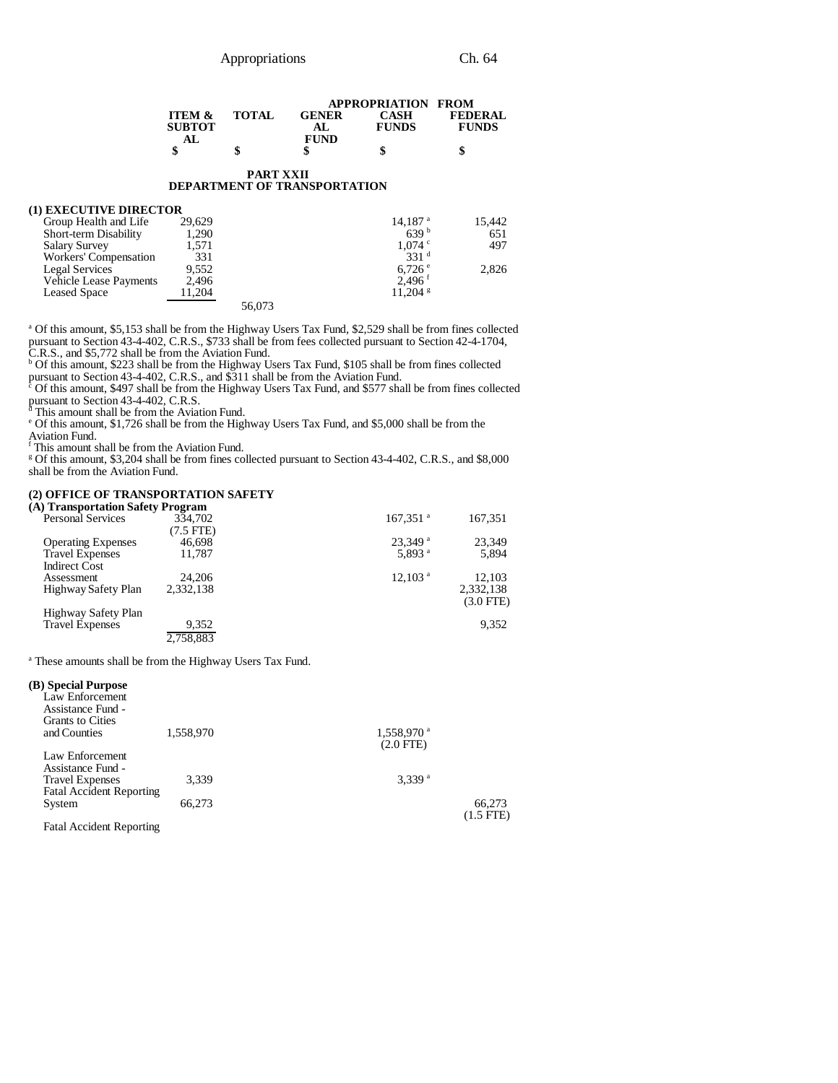|                   |              |              | <b>APPROPRIATION FROM</b> |                |
|-------------------|--------------|--------------|---------------------------|----------------|
| <b>ITEM &amp;</b> | <b>TOTAL</b> | <b>GENER</b> | CASH                      | <b>FEDERAL</b> |
| <b>SUBTOT</b>     |              | AL.          | <b>FUNDS</b>              | <b>FUNDS</b>   |
|                   |              | <b>FUND</b>  |                           |                |
| \$                |              | \$           | S                         |                |

#### **PART XXII DEPARTMENT OF TRANSPORTATION**

### **(1) EXECUTIVE DIRECTOR**

| Group Health and Life         | 29.629 |        | $14,187$ <sup>a</sup> | 15.442 |
|-------------------------------|--------|--------|-----------------------|--------|
| Short-term Disability         | 1,290  |        | 639 <sup>b</sup>      | 651    |
| <b>Salary Survey</b>          | 1.571  |        | $1.074$ $\degree$     | 497    |
| Workers' Compensation         | 331    |        | 331 <sup>d</sup>      |        |
| Legal Services                | 9,552  |        | $6,726$ $\degree$     | 2,826  |
| <b>Vehicle Lease Payments</b> | 2.496  |        | $2.496^{\text{t}}$    |        |
| <b>Leased Space</b>           | 11.204 |        | $11.204$ s            |        |
|                               |        | 56,073 |                       |        |

a Of this amount, \$5,153 shall be from the Highway Users Tax Fund, \$2,529 shall be from fines collected pursuant to Section 43-4-402, C.R.S., \$733 shall be from fees collected pursuant to Section 42-4-1704,

C.R.S., and \$5,772 shall be from the Aviation Fund. b Of this amount, \$223 shall be from the Highway Users Tax Fund, \$105 shall be from fines collected

pursuant to Section 43-4-402, C.R.S., and \$311 shall be from the Aviation Fund. c Of this amount, \$497 shall be from the Highway Users Tax Fund, and \$577 shall be from fines collected pursuant to Section 43-4-402, C.R.S.<br><sup>a</sup> This amount shall be from the Aviation Fund.<br>° Of this amount, \$1,726 shall be from the Highway Users Tax Fund, and \$5,000 shall be from the

Aviation Fund. f This amount shall be from the Aviation Fund.

<sup>g</sup> Of this amount, \$3,204 shall be from fines collected pursuant to Section 43-4-402, C.R.S., and \$8,000 shall be from the Aviation Fund.

#### **(2) OFFICE OF TRANSPORTATION SAFETY**

| (A) Transportation Safety Program |                |                        |             |
|-----------------------------------|----------------|------------------------|-------------|
| <b>Personal Services</b>          | 334,702        | $167,351$ <sup>a</sup> | 167,351     |
|                                   | $(7.5$ FTE $)$ |                        |             |
| <b>Operating Expenses</b>         | 46.698         | $23.349$ <sup>a</sup>  | 23,349      |
| <b>Travel Expenses</b>            | 11.787         | 5.893 $a$              | 5,894       |
| <b>Indirect Cost</b>              |                |                        |             |
| Assessment                        | 24,206         | $12,103$ <sup>a</sup>  | 12.103      |
| Highway Safety Plan               | 2.332.138      |                        | 2,332,138   |
|                                   |                |                        | $(3.0$ FTE) |
| Highway Safety Plan               |                |                        |             |
| <b>Travel Expenses</b>            | 9,352          |                        | 9,352       |
|                                   | 2.758.883      |                        |             |

<sup>a</sup> These amounts shall be from the Highway Users Tax Fund.

#### **(B) Special Purpose**

| Law Enforcement<br>Assistance Fund - |           |                          |  |
|--------------------------------------|-----------|--------------------------|--|
| <b>Grants to Cities</b>              |           |                          |  |
| and Counties                         | 1,558,970 | $1,558,970$ <sup>a</sup> |  |
|                                      |           | $(2.0$ FTE)              |  |
| Law Enforcement                      |           |                          |  |
| Assistance Fund -                    |           |                          |  |
| <b>Travel Expenses</b>               | 3.339     | 3.339 <sup>a</sup>       |  |
| <b>Fatal Accident Reporting</b>      |           |                          |  |
| System                               | 66,273    | 66,273                   |  |
|                                      |           | $(1.5$ FTE)              |  |

Fatal Accident Reporting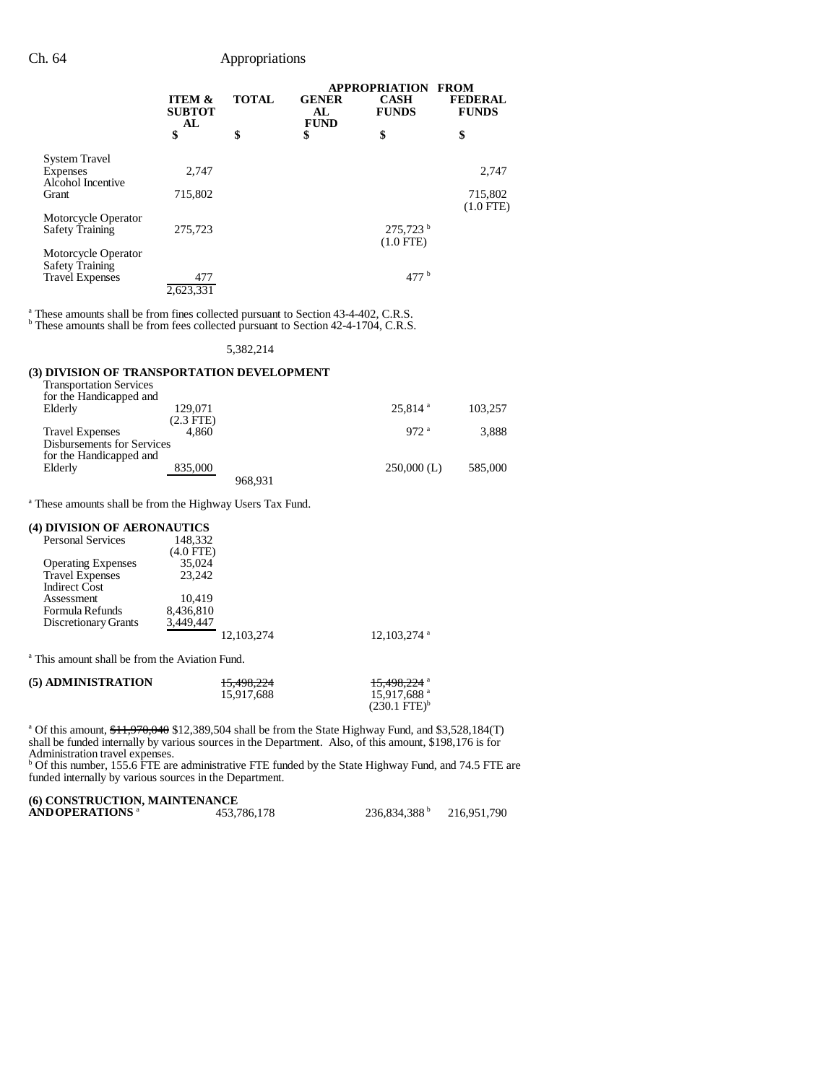#### Ch. 64 Appropriations

|                                                                         |                                          |              | <b>FROM</b><br><b>APPROPRIATION</b> |                                       |                                |
|-------------------------------------------------------------------------|------------------------------------------|--------------|-------------------------------------|---------------------------------------|--------------------------------|
|                                                                         | <b>ITEM &amp;</b><br><b>SUBTOT</b><br>AL | <b>TOTAL</b> | <b>GENER</b><br>AL<br><b>FUND</b>   | <b>CASH</b><br><b>FUNDS</b>           | <b>FEDERAL</b><br><b>FUNDS</b> |
|                                                                         | \$                                       | \$           | \$                                  | \$                                    | \$                             |
| <b>System Travel</b><br>Expenses<br>Alcohol Incentive                   | 2.747                                    |              |                                     |                                       | 2,747                          |
| Grant                                                                   | 715,802                                  |              |                                     |                                       | 715,802<br>$(1.0$ FTE)         |
| Motorcycle Operator<br><b>Safety Training</b>                           | 275,723                                  |              |                                     | $275,723^{\mathrm{b}}$<br>$(1.0$ FTE) |                                |
| Motorcycle Operator<br><b>Safety Training</b><br><b>Travel Expenses</b> | 477                                      |              |                                     | 477h                                  |                                |
|                                                                         | 2,623,331                                |              |                                     |                                       |                                |

<sup>a</sup> These amounts shall be from fines collected pursuant to Section 43-4-402, C.R.S.

<sup>b</sup> These amounts shall be from fees collected pursuant to Section 42-4-1704, C.R.S.

#### 5,382,214

#### **(3) DIVISION OF TRANSPORTATION DEVELOPMENT**

| <b>Transportation Services</b> |                |         |                       |         |
|--------------------------------|----------------|---------|-----------------------|---------|
| for the Handicapped and        |                |         |                       |         |
| Elderly                        | 129,071        |         | $25,814$ <sup>a</sup> | 103,257 |
|                                | $(2.3$ FTE $)$ |         |                       |         |
| <b>Travel Expenses</b>         | 4.860          |         | 972 <sup>a</sup>      | 3,888   |
| Disbursements for Services     |                |         |                       |         |
| for the Handicapped and        |                |         |                       |         |
| Elderly                        | 835,000        |         | $250,000$ (L)         | 585,000 |
|                                |                | 968.931 |                       |         |

<sup>a</sup> These amounts shall be from the Highway Users Tax Fund.

#### **(4) DIVISION OF AERONAUTICS**

| <b>Personal Services</b>  | 148,332    |                           |
|---------------------------|------------|---------------------------|
|                           | (4.0 FTE)  |                           |
| <b>Operating Expenses</b> | 35,024     |                           |
| <b>Travel Expenses</b>    | 23.242     |                           |
| <b>Indirect Cost</b>      |            |                           |
| Assessment                | 10.419     |                           |
| Formula Refunds           | 8,436,810  |                           |
| Discretionary Grants      | 3.449.447  |                           |
|                           | 12.103.274 | $12,103,274$ <sup>a</sup> |

<sup>a</sup> This amount shall be from the Aviation Fund.

| (5) ADMINISTRATION | 15,498,224 | 1 <del>5,498,224</del> a |
|--------------------|------------|--------------------------|
|                    | 15.917.688 | 15.917.688 <sup>a</sup>  |
|                    |            | $(230.1 \text{ FTE})^6$  |

<sup>a</sup> Of this amount, \$11,970,040 \$12,389,504 shall be from the State Highway Fund, and \$3,528,184(T) shall be funded internally by various sources in the Department. Also, of this amount, \$198,176 is for

Administration travel expenses. b Of this number, 155.6 FTE are administrative FTE funded by the State Highway Fund, and 74.5 FTE are funded internally by various sources in the Department.

# **(6) CONSTRUCTION, MAINTENANCE**

| $\sigma$ , corromo chiora, miniarindraton |             |                          |             |
|-------------------------------------------|-------------|--------------------------|-------------|
| AND OPERATIONS <sup>a</sup>               | 453,786,178 | 236,834,388 <sup>b</sup> | 216,951,790 |
|                                           |             |                          |             |